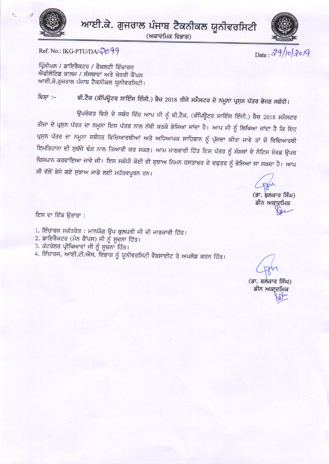

ਆਈ.ਕੇ. ਗੁਜਰਾਲ ਪੰਜਾਬ ਟੈਕਨੀਕਲ ਯੂਨੀਵਰਸਿਟੀ

(ਅਕਾਦਮਿਕ ਵਿਭਾਗ)



Date:  $29/10/20/9$ 

Ref. No.: IKG-PTU/DA/2099

ਪ੍ਰਿੰਸੀਪਲ / ਡਾਇਰੈਕਟਰ / ਫੈਕਲਟੀ ਇੰਚਾਰਜ ਐਫੀਲੇਟਿਡ ਕਾਲਜ / ਸੰਸਥਾਵਾਂ ਅਤੇ ਖੇਤਰੀ ਕੈਂਪਸ ਆਈ.ਕੇ.ਗੁਜਰਾਲ ਪੰਜਾਬ ਟੈਕਨੀਕਲ ਯੂਨੀਵਰਸਿਟੀ।

ਬੀ.ਟੈਕ (ਕੰਪਿਊਟਰ ਸਾਇੰਸ ਇੰਜੀ.) ਬੈਚ 2018 ਤੀਜੇ ਸਮੈਸਟਰ ਦੇ ਨਮੂਨਾ ਪ੍ਰਸ਼ਨ ਪੱਤਰ ਭੇਜਣ ਸਬੰਧੀ। ਵਿਸ਼ਾ :–

ਉਪਰੋਕਤ ਵਿਸ਼ੇ ਦੇ ਸਬੰਧ ਵਿੱਚ ਆਪ ਜੀ ਨੂੰ ਬੀ.ਟੈਕ. (ਕੰਪਿਊਟਰ ਸਾਇੰਸ ਇੰਜੀ.) ਬੈਚ 2018 ਸਮੈਸਟਰ ਤੀਜਾ ਦੇ ਪ੍ਰਸ਼ਨ ਪੱਤਰ ਦਾ ਨਮੂਨਾ ਇਸ ਪੱਤਰ ਨਾਲ ਨੱਥੀ ਕਰਕੇ ਭੇਜਿਆ ਜਾਂਦਾ ਹੈ। ਆਪ ਜੀ ਨੂੰ ਲਿਖਿਆ ਜਾਂਦਾ ਹੈ ਕਿ ਇਹ ਪ੍ਰਸ਼ਨ ਪੱਤਰ ਦਾ ਨਮੂਨਾ ਸਬੰਧਤ ਵਿਦਿਆਰਥੀਆਂ ਅਤੇ ਅਧਿਆਪਕ ਸਾਹਿਬਾਨ ਨੂੰ ਪੁੱਜਦਾ ਕੀਤਾ ਜਾਵੇ ਤਾਂ ਜ਼ੋ ਵਿਦਿਆਰਥੀ ਇਮਤਿਹਾਨਾ ਦੀ ਸੁਚੱਜੇ ਢੰਗ ਨਾਲ ਤਿਆਰੀ ਕਰ ਸਕਣ। ਆਮ ਜਾਣਕਾਰੀ ਹਿੱਤ ਇਸ ਪੱਤਰ ਨੂੰ ਸੰਸਥਾਂ ਦੇ ਨੋਟਿਸ ਬੋਰਡ ਉਪਰ ਚਿਸਪਾਨ ਕਰਵਾਇਆ ਜਾਵੇ ਜੀ। ਇਸ ਸਬੰਧੀ ਕੋਈ ਵੀ ਸੁਝਾਅ ਨਿਮਨ ਹਸਤਾਖ਼ਰ ਦੇ ਦਫ਼ਤਰ ਨੂੰ ਭੇਜਿਆ ਜਾ ਸਕਦਾ ਹੈ। ਆਪ ਜੀ ਵੱਲੋਂ ਭੇਜੇ ਗਏ ਸੁਝਾਅ ਸਾਡੇ ਲਈ ਮਹੱਤਵਪੂਰਨ ਹਨ।

(ਡਾ. ਸ਼ਲਕਾਰ ਸਿੰਘ) ਡੀਨ ਅਕਾਦਮਿਕ

ਇਸ ਦਾ ਇੱਕ ਉਤਾਰਾ :

1. ਇੰਚਾਰਜ ਸਕੱਤਰੇਤ : ਮਾਨਯੋਗ ਉਪ ਕੁਲਪਤੀ ਜੀ ਦੀ ਜਾਣਕਾਰੀ ਹਿੱਤ।

- 2. ਡਾਇਰੈਕਟਰ (ਮੇਨ ਕੈਂਪਸ) ਜੀ ਨੂੰ ਸੂਚਨਾ ਹਿੱਤ।
- 3. ਕੰਟਰੋਲਰ ਪ੍ਰੀਖਿਆਵਾਂ ਜੀ ਨੂੰ ਸੂਚਨਾ ਹਿੱਤ।

4. ਇੰਚਾਰਜ, ਆਈ.ਟੀ.ਐਸ. ਵਿਭਾਗ ਨੂੰ ਯੂਨੀਵਰਸਿਟੀ ਵੈਬਸਾਈਟ ਤੇ ਅਪਲੋਡ ਕਰਨ ਹਿੱਤ।

(ਡਾ. ਬਲਕਾਰ ਸਿੰਘ) ਡੀਨ ਅਕਾਦਮਿਕ